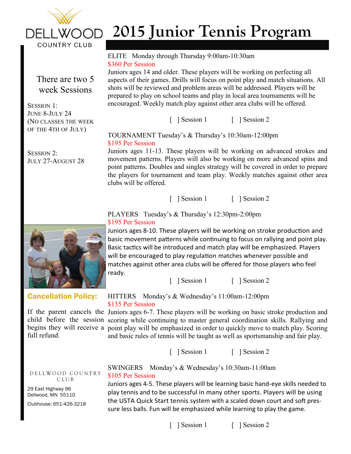

There are two 5 week Sessions

(NO CLASSES THE WEEK OF THE 4TH OF JULY)

SESSION 1: JUNE 8-JULY 24

SESSION 2.

# **2015 Junior Tennis Program**

#### ELITE Monday through Thursday 9:00am-10:30am \$360 Per Session

Juniors ages 14 and older. These players will be working on perfecting all aspects of their games. Drills will focus on point play and match situations. All shots will be reviewed and problem areas will be addressed. Players will be prepared to play on school teams and play in local area tournaments will be encouraged. Weekly match play against other area clubs will be offered.

[ ] Session 1 [ ] Session 2

TOURNAMENT Tuesday's & Thursday's 10:30am-12:00pm \$195 Per Session

Juniors ages 11-13. These players will be working on advanced strokes and movement patterns. Players will also be working on more advanced spins and point patterns. Doubles and singles strategy will be covered in order to prepare the players for tournament and team play. Weekly matches against other area clubs will be offered.

[ ] Session 1 [ ] Session 2

# PLAYERS Tuesday's & Thursday's 12:30pm-2:00pm \$195 Per Session

Juniors ages 8-10. These players will be working on stroke production and basic movement patterns while continuing to focus on rallying and point play. Basic tactics will be introduced and match play will be emphasized. Players will be encouraged to play regulation matches whenever possible and matches against other area clubs will be offered for those players who feel ready.

[ ] Session 1 [ ] Session 2

## HITTERS Monday's & Wednesday's 11:00am-12:00pm \$135 Per Session

If the parent cancels the Juniors ages 6-7. These players will be working on basic stroke production and child before the session scoring while continuing to master general coordination skills. Rallying and begins they will receive a point play will be emphasized in order to quickly move to match play. Scoring and basic rules of tennis will be taught as well as sportsmanship and fair play.

[ ] Session 1 [ ] Session 2

SWINGERS Monday's & Wednesday's 10:30am-11:00am \$105 Per Session

Juniors ages 4-5. These players will be learning basic hand-eye skills needed to play tennis and to be successful in many other sports. Players will be using the USTA Quick Start tennis system with a scaled down court and soft pressure less balls. Fun will be emphasized while learning to play the game.

JULY 27-AUGUST 28



Cancellation Policy:

full refund.

D E L L W O O D C O UNTRY C L U B

29 East Highway 96 Dellwood, MN 55110

Clubhouse: 651-426-3218

## [ ] Session 1 [ ] Session 2